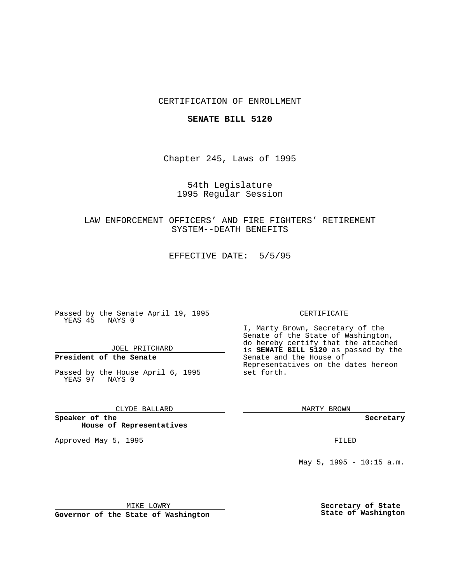## CERTIFICATION OF ENROLLMENT

### **SENATE BILL 5120**

Chapter 245, Laws of 1995

54th Legislature 1995 Regular Session

LAW ENFORCEMENT OFFICERS' AND FIRE FIGHTERS' RETIREMENT SYSTEM--DEATH BENEFITS

EFFECTIVE DATE: 5/5/95

Passed by the Senate April 19, 1995 YEAS 45 NAYS 0

JOEL PRITCHARD

# **President of the Senate**

Passed by the House April 6, 1995 YEAS 97 NAYS 0

CLYDE BALLARD

**Speaker of the House of Representatives**

Approved May 5, 1995 **FILED** 

#### CERTIFICATE

I, Marty Brown, Secretary of the Senate of the State of Washington, do hereby certify that the attached is **SENATE BILL 5120** as passed by the Senate and the House of Representatives on the dates hereon set forth.

MARTY BROWN

**Secretary**

May 5, 1995 - 10:15 a.m.

MIKE LOWRY

**Governor of the State of Washington**

**Secretary of State State of Washington**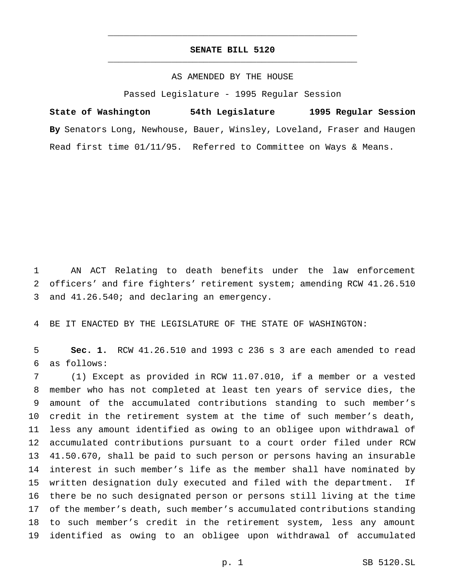## **SENATE BILL 5120** \_\_\_\_\_\_\_\_\_\_\_\_\_\_\_\_\_\_\_\_\_\_\_\_\_\_\_\_\_\_\_\_\_\_\_\_\_\_\_\_\_\_\_\_\_\_\_

\_\_\_\_\_\_\_\_\_\_\_\_\_\_\_\_\_\_\_\_\_\_\_\_\_\_\_\_\_\_\_\_\_\_\_\_\_\_\_\_\_\_\_\_\_\_\_

### AS AMENDED BY THE HOUSE

Passed Legislature - 1995 Regular Session

**State of Washington 54th Legislature 1995 Regular Session By** Senators Long, Newhouse, Bauer, Winsley, Loveland, Fraser and Haugen Read first time 01/11/95. Referred to Committee on Ways & Means.

 AN ACT Relating to death benefits under the law enforcement officers' and fire fighters' retirement system; amending RCW 41.26.510 and 41.26.540; and declaring an emergency.

BE IT ENACTED BY THE LEGISLATURE OF THE STATE OF WASHINGTON:

 **Sec. 1.** RCW 41.26.510 and 1993 c 236 s 3 are each amended to read as follows:

 (1) Except as provided in RCW 11.07.010, if a member or a vested member who has not completed at least ten years of service dies, the amount of the accumulated contributions standing to such member's credit in the retirement system at the time of such member's death, less any amount identified as owing to an obligee upon withdrawal of accumulated contributions pursuant to a court order filed under RCW 41.50.670, shall be paid to such person or persons having an insurable interest in such member's life as the member shall have nominated by written designation duly executed and filed with the department. If there be no such designated person or persons still living at the time of the member's death, such member's accumulated contributions standing to such member's credit in the retirement system, less any amount identified as owing to an obligee upon withdrawal of accumulated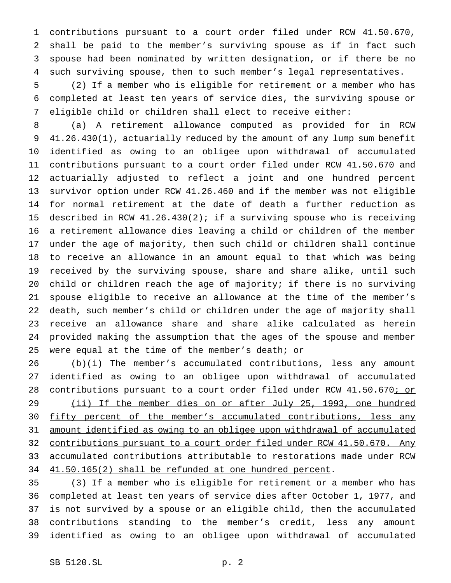contributions pursuant to a court order filed under RCW 41.50.670, shall be paid to the member's surviving spouse as if in fact such spouse had been nominated by written designation, or if there be no such surviving spouse, then to such member's legal representatives.

 (2) If a member who is eligible for retirement or a member who has completed at least ten years of service dies, the surviving spouse or eligible child or children shall elect to receive either:

 (a) A retirement allowance computed as provided for in RCW 41.26.430(1), actuarially reduced by the amount of any lump sum benefit identified as owing to an obligee upon withdrawal of accumulated contributions pursuant to a court order filed under RCW 41.50.670 and actuarially adjusted to reflect a joint and one hundred percent survivor option under RCW 41.26.460 and if the member was not eligible for normal retirement at the date of death a further reduction as described in RCW 41.26.430(2); if a surviving spouse who is receiving a retirement allowance dies leaving a child or children of the member under the age of majority, then such child or children shall continue to receive an allowance in an amount equal to that which was being received by the surviving spouse, share and share alike, until such child or children reach the age of majority; if there is no surviving spouse eligible to receive an allowance at the time of the member's death, such member's child or children under the age of majority shall receive an allowance share and share alike calculated as herein provided making the assumption that the ages of the spouse and member were equal at the time of the member's death; or

26 (b) $(i)$  The member's accumulated contributions, less any amount identified as owing to an obligee upon withdrawal of accumulated 28 contributions pursuant to a court order filed under RCW 41.50.670; or 29 (ii) If the member dies on or after July 25, 1993, one hundred 30 fifty percent of the member's accumulated contributions, less any amount identified as owing to an obligee upon withdrawal of accumulated 32 contributions pursuant to a court order filed under RCW 41.50.670. Any accumulated contributions attributable to restorations made under RCW 41.50.165(2) shall be refunded at one hundred percent.

 (3) If a member who is eligible for retirement or a member who has completed at least ten years of service dies after October 1, 1977, and is not survived by a spouse or an eligible child, then the accumulated contributions standing to the member's credit, less any amount identified as owing to an obligee upon withdrawal of accumulated